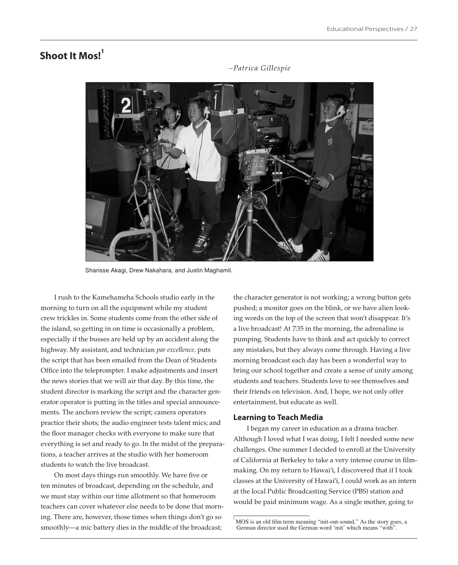# **Shoot It Mos!**<sup>1</sup>

Sharisse Akagi, Drew Nakahara, and Justin Maghamil.

I rush to the Kamehameha Schools studio early in the morning to turn on all the equipment while my student crew trickles in. Some students come from the other side of the island, so getting in on time is occasionally a problem, especially if the busses are held up by an accident along the highway. My assistant, and technician *par excellence,* puts the script that has been emailed from the Dean of Students Office into the teleprompter. I make adjustments and insert the news stories that we will air that day. By this time, the student director is marking the script and the character generator operator is putting in the titles and special announcements. The anchors review the script; camera operators practice their shots; the audio engineer tests talent mics; and the floor manager checks with everyone to make sure that everything is set and ready to go. In the midst of the preparations, a teacher arrives at the studio with her homeroom students to watch the live broadcast.

On most days things run smoothly. We have five or ten minutes of broadcast, depending on the schedule, and we must stay within our time allotment so that homeroom teachers can cover whatever else needs to be done that morning. There are, however, those times when things don't go so smoothly—a mic battery dies in the middle of the broadcast;

the character generator is not working; a wrong button gets pushed; a monitor goes on the blink, or we have alien looking words on the top of the screen that won't disappear. It's a live broadcast! At 7:35 in the morning, the adrenaline is pumping. Students have to think and act quickly to correct any mistakes, but they always come through. Having a live morning broadcast each day has been a wonderful way to bring our school together and create a sense of unity among students and teachers. Students love to see themselves and their friends on television. And, I hope, we not only offer entertainment, but educate as well.

#### **Learning to Teach Media**

I began my career in education as a drama teacher. Although I loved what I was doing, I felt I needed some new challenges. One summer I decided to enroll at the University of California at Berkeley to take a very intense course in filmmaking. On my return to Hawai'i, I discovered that if I took classes at the University of Hawai'i, I could work as an intern at the local Public Broadcasting Service (PBS) station and would be paid minimum wage. As a single mother, going to

*–Patrica Gillespie*

 $1$  MOS is an old film term meaning "mit-out-sound." As the story goes, a German director used the German word 'mit' which means "with".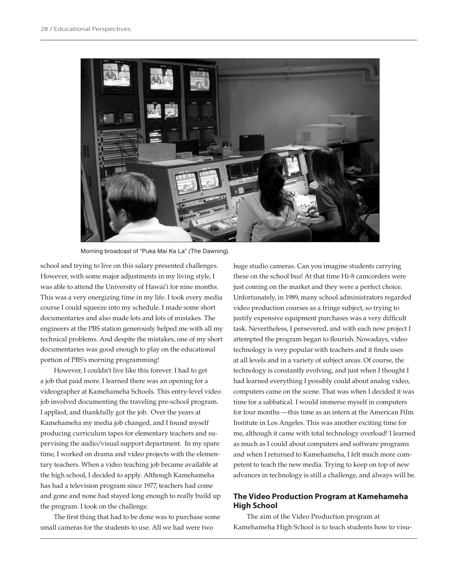

Morning broadcast of "Puka Mai Ka La" (The Dawning).

school and trying to live on this salary presented challenges. However, with some major adjustments in my living style, I was able to attend the University of Hawai'i for nine months. This was a very energizing time in my life. I took every media course I could squeeze into my schedule. I made some short documentaries and also made lots and lots of mistakes. The engineers at the PBS station generously helped me with all my technical problems. And despite the mistakes, one of my short documentaries was good enough to play on the educational portion of PBS's morning programming!

However, I couldn't live like this forever. I had to get a job that paid more. I learned there was an opening for a videographer at Kamehameha Schools. This entry-level video job involved documenting the traveling pre-school program. I applied, and thankfully got the job. Over the years at Kamehameha my media job changed, and I found myself producing curriculum tapes for elementary teachers and supervising the audio/visual support department. In my spare time, I worked on drama and video projects with the elementary teachers. When a video teaching job became available at the high school, I decided to apply. Although Kamehameha has had a television program since 1977, teachers had come and gone and none had stayed long enough to really build up the program. I took on the challenge.

The first thing that had to be done was to purchase some small cameras for the students to use. All we had were two

huge studio cameras. Can you imagine students carrying these on the school bus! At that time Hi-8 camcorders were just coming on the market and they were a perfect choice. Unfortunately, in 1989, many school administrators regarded video production courses as a fringe subject, so trying to justify expensive equipment purchases was a very difficult task. Nevertheless, I persevered, and with each new project I attempted the program began to flourish. Nowadays, video technology is very popular with teachers and it finds uses at all levels and in a variety of subject areas. Of course, the technology is constantly evolving, and just when I thought I had learned everything I possibly could about analog video, computers came on the scene. That was when I decided it was time for a sabbatical. I would immerse myself in computers for four months —this time as an intern at the American Film Institute in Los Angeles. This was another exciting time for me, although it came with total technology overload! I learned as much as I could about computers and software programs and when I returned to Kamehameha, I felt much more competent to teach the new media. Trying to keep on top of new advances in technology is still a challenge, and always will be.

## **The Video Production Program at Kamehameha High School**

The aim of the Video Production program at Kamehameha High School is to teach students how to visu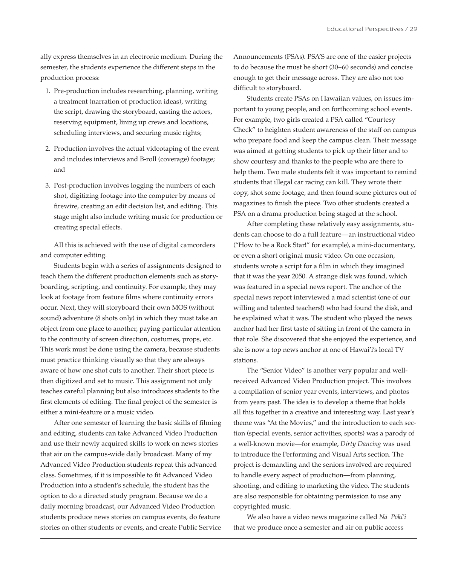ally express themselves in an electronic medium. During the semester, the students experience the different steps in the production process:

- 1. Pre-production includes researching, planning, writing a treatment (narration of production ideas), writing the script, drawing the storyboard, casting the actors, reserving equipment, lining up crews and locations, scheduling interviews, and securing music rights;
- 2. Production involves the actual videotaping of the event and includes interviews and B-roll (coverage) footage; and
- 3. Post-production involves logging the numbers of each shot, digitizing footage into the computer by means of firewire, creating an edit decision list, and editing. This stage might also include writing music for production or creating special effects.

All this is achieved with the use of digital camcorders and computer editing.

Students begin with a series of assignments designed to teach them the different production elements such as storyboarding, scripting, and continuity. For example, they may look at footage from feature films where continuity errors occur. Next, they will storyboard their own MOS (without sound) adventure (8 shots only) in which they must take an object from one place to another, paying particular attention to the continuity of screen direction, costumes, props, etc. This work must be done using the camera, because students must practice thinking visually so that they are always aware of how one shot cuts to another. Their short piece is then digitized and set to music. This assignment not only teaches careful planning but also introduces students to the first elements of editing. The final project of the semester is either a mini-feature or a music video.

After one semester of learning the basic skills of filming and editing, students can take Advanced Video Production and use their newly acquired skills to work on news stories that air on the campus-wide daily broadcast. Many of my Advanced Video Production students repeat this advanced class. Sometimes, if it is impossible to fit Advanced Video Production into a student's schedule, the student has the option to do a directed study program. Because we do a daily morning broadcast, our Advanced Video Production students produce news stories on campus events, do feature stories on other students or events, and create Public Service Announcements (PSAs). PSA'S are one of the easier projects to do because the must be short (30–60 seconds) and concise enough to get their message across. They are also not too difficult to storyboard.

Students create PSAs on Hawaiian values, on issues important to young people, and on forthcoming school events. For example, two girls created a PSA called "Courtesy Check" to heighten student awareness of the staff on campus who prepare food and keep the campus clean. Their message was aimed at getting students to pick up their litter and to show courtesy and thanks to the people who are there to help them. Two male students felt it was important to remind students that illegal car racing can kill. They wrote their copy, shot some footage, and then found some pictures out of magazines to finish the piece. Two other students created a PSA on a drama production being staged at the school.

After completing these relatively easy assignments, students can choose to do a full feature—an instructional video ("How to be a Rock Star!" for example), a mini-documentary, or even a short original music video. On one occasion, students wrote a script for a film in which they imagined that it was the year 2050. A strange disk was found, which was featured in a special news report. The anchor of the special news report interviewed a mad scientist (one of our willing and talented teachers!) who had found the disk, and he explained what it was. The student who played the news anchor had her first taste of sitting in front of the camera in that role. She discovered that she enjoyed the experience, and she is now a top news anchor at one of Hawai'i's local TV stations.

The "Senior Video" is another very popular and wellreceived Advanced Video Production project. This involves a compilation of senior year events, interviews, and photos from years past. The idea is to develop a theme that holds all this together in a creative and interesting way. Last year's theme was "At the Movies," and the introduction to each section (special events, senior activities, sports) was a parody of a well-known movie—for example, *Dirty Dancing* was used to introduce the Performing and Visual Arts section. The project is demanding and the seniors involved are required to handle every aspect of production—from planning, shooting, and editing to marketing the video. The students are also responsible for obtaining permission to use any copyrighted music.

We also have a video news magazine called *Nä Pöki'i* that we produce once a semester and air on public access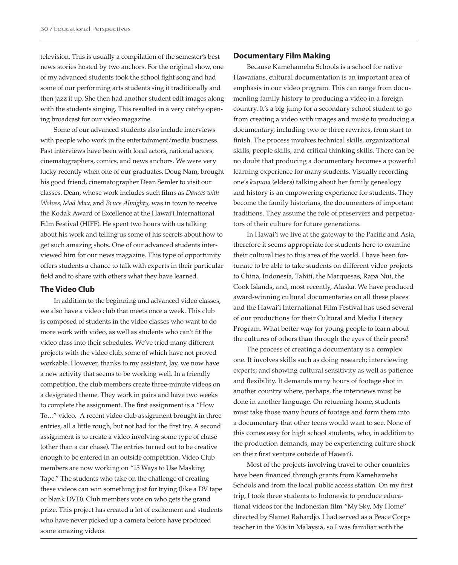television. This is usually a compilation of the semester's best news stories hosted by two anchors. For the original show, one of my advanced students took the school fight song and had some of our performing arts students sing it traditionally and then jazz it up. She then had another student edit images along with the students singing. This resulted in a very catchy opening broadcast for our video magazine.

Some of our advanced students also include interviews with people who work in the entertainment/media business. Past interviews have been with local actors, national actors, cinematographers, comics, and news anchors. We were very lucky recently when one of our graduates, Doug Nam, brought his good friend, cinematographer Dean Semler to visit our classes. Dean, whose work includes such films as *Dances with Wolves*, *Mad Max*, and *Bruce Almighty,* was in town to receive the Kodak Award of Excellence at the Hawai'i International Film Festival (HIFF). He spent two hours with us talking about his work and telling us some of his secrets about how to get such amazing shots. One of our advanced students interviewed him for our news magazine. This type of opportunity offers students a chance to talk with experts in their particular field and to share with others what they have learned.

#### **The Video Club**

In addition to the beginning and advanced video classes, we also have a video club that meets once a week. This club is composed of students in the video classes who want to do more work with video, as well as students who can't fit the video class into their schedules. We've tried many different projects with the video club, some of which have not proved workable. However, thanks to my assistant, Jay, we now have a new activity that seems to be working well. In a friendly competition, the club members create three-minute videos on a designated theme. They work in pairs and have two weeks to complete the assignment. The first assignment is a "How To…" video. A recent video club assignment brought in three entries, all a little rough, but not bad for the first try. A second assignment is to create a video involving some type of chase (other than a car chase). The entries turned out to be creative enough to be entered in an outside competition. Video Club members are now working on "15 Ways to Use Masking Tape." The students who take on the challenge of creating these videos can win something just for trying (like a DV tape or blank DVD). Club members vote on who gets the grand prize. This project has created a lot of excitement and students who have never picked up a camera before have produced some amazing videos.

#### **Documentary Film Making**

Because Kamehameha Schools is a school for native Hawaiians, cultural documentation is an important area of emphasis in our video program. This can range from documenting family history to producing a video in a foreign country. It's a big jump for a secondary school student to go from creating a video with images and music to producing a documentary, including two or three rewrites, from start to finish. The process involves technical skills, organizational skills, people skills, and critical thinking skills. There can be no doubt that producing a documentary becomes a powerful learning experience for many students. Visually recording one's *kupuna* (elders) talking about her family genealogy and history is an empowering experience for students. They become the family historians, the documenters of important traditions. They assume the role of preservers and perpetuators of their culture for future generations.

In Hawai'i we live at the gateway to the Pacific and Asia, therefore it seems appropriate for students here to examine their cultural ties to this area of the world. I have been fortunate to be able to take students on different video projects to China, Indonesia, Tahiti, the Marquesas, Rapa Nui, the Cook Islands, and, most recently, Alaska. We have produced award-winning cultural documentaries on all these places and the Hawai'i International Film Festival has used several of our productions for their Cultural and Media Literacy Program. What better way for young people to learn about the cultures of others than through the eyes of their peers?

The process of creating a documentary is a complex one. It involves skills such as doing research; interviewing experts; and showing cultural sensitivity as well as patience and flexibility. It demands many hours of footage shot in another country where, perhaps, the interviews must be done in another language. On returning home, students must take those many hours of footage and form them into a documentary that other teens would want to see. None of this comes easy for high school students, who, in addition to the production demands, may be experiencing culture shock on their first venture outside of Hawai'i.

Most of the projects involving travel to other countries have been financed through grants from Kamehameha Schools and from the local public access station. On my first trip, I took three students to Indonesia to produce educational videos for the Indonesian film "My Sky, My Home" directed by Slamet Rahardjo. I had served as a Peace Corps teacher in the '60s in Malaysia, so I was familiar with the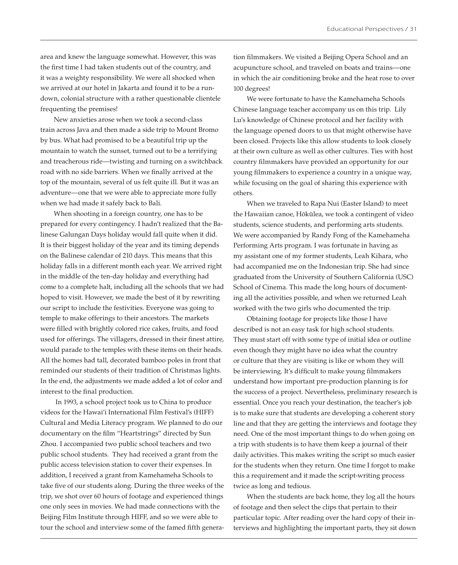area and knew the language somewhat. However, this was the first time I had taken students out of the country, and it was a weighty responsibility. We were all shocked when we arrived at our hotel in Jakarta and found it to be a rundown, colonial structure with a rather questionable clientele frequenting the premises!

New anxieties arose when we took a second-class train across Java and then made a side trip to Mount Bromo by bus. What had promised to be a beautiful trip up the mountain to watch the sunset, turned out to be a terrifying and treacherous ride—twisting and turning on a switchback road with no side barriers. When we finally arrived at the top of the mountain, several of us felt quite ill. But it was an adventure—one that we were able to appreciate more fully when we had made it safely back to Bali.

When shooting in a foreign country, one has to be prepared for every contingency. I hadn't realized that the Balinese Galungan Days holiday would fall quite when it did. It is their biggest holiday of the year and its timing depends on the Balinese calendar of 210 days. This means that this holiday falls in a different month each year. We arrived right in the middle of the ten-day holiday and everything had come to a complete halt, including all the schools that we had hoped to visit. However, we made the best of it by rewriting our script to include the festivities. Everyone was going to temple to make offerings to their ancestors. The markets were filled with brightly colored rice cakes, fruits, and food used for offerings. The villagers, dressed in their finest attire, would parade to the temples with these items on their heads. All the homes had tall, decorated bamboo poles in front that reminded our students of their tradition of Christmas lights. In the end, the adjustments we made added a lot of color and interest to the final production.

 In 1993, a school project took us to China to produce videos for the Hawai'i International Film Festival's (HIFF) Cultural and Media Literacy program. We planned to do our documentary on the film "Heartstrings" directed by Sun Zhou. I accompanied two public school teachers and two public school students. They had received a grant from the public access television station to cover their expenses. In addition, I received a grant from Kamehameha Schools to take five of our students along. During the three weeks of the trip, we shot over 60 hours of footage and experienced things one only sees in movies. We had made connections with the Beijing Film Institute through HIFF, and so we were able to tour the school and interview some of the famed fifth generation filmmakers. We visited a Beijing Opera School and an acupuncture school, and traveled on boats and trains—one in which the air conditioning broke and the heat rose to over 100 degrees!

We were fortunate to have the Kamehameha Schools Chinese language teacher accompany us on this trip. Lily Lu's knowledge of Chinese protocol and her facility with the language opened doors to us that might otherwise have been closed. Projects like this allow students to look closely at their own culture as well as other cultures. Ties with host country filmmakers have provided an opportunity for our young filmmakers to experience a country in a unique way, while focusing on the goal of sharing this experience with others.

When we traveled to Rapa Nui (Easter Island) to meet the Hawaiian canoe, Hökülea, we took a contingent of video students, science students, and performing arts students. We were accompanied by Randy Fong of the Kamehameha Performing Arts program. I was fortunate in having as my assistant one of my former students, Leah Kihara, who had accompanied me on the Indonesian trip. She had since graduated from the University of Southern California (USC) School of Cinema. This made the long hours of documenting all the activities possible, and when we returned Leah worked with the two girls who documented the trip.

Obtaining footage for projects like those I have described is not an easy task for high school students. They must start off with some type of initial idea or outline even though they might have no idea what the country or culture that they are visiting is like or whom they will be interviewing. It's difficult to make young filmmakers understand how important pre-production planning is for the success of a project. Nevertheless, preliminary research is essential. Once you reach your destination, the teacher's job is to make sure that students are developing a coherent story line and that they are getting the interviews and footage they need. One of the most important things to do when going on a trip with students is to have them keep a journal of their daily activities. This makes writing the script so much easier for the students when they return. One time I forgot to make this a requirement and it made the script-writing process twice as long and tedious.

When the students are back home, they log all the hours of footage and then select the clips that pertain to their particular topic. After reading over the hard copy of their interviews and highlighting the important parts, they sit down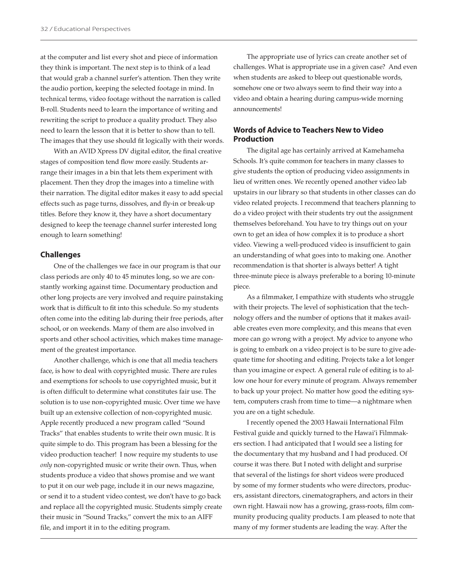at the computer and list every shot and piece of information they think is important. The next step is to think of a lead that would grab a channel surfer's attention. Then they write the audio portion, keeping the selected footage in mind. In technical terms, video footage without the narration is called B-roll. Students need to learn the importance of writing and rewriting the script to produce a quality product. They also need to learn the lesson that it is better to show than to tell. The images that they use should fit logically with their words.

With an AVID Xpress DV digital editor, the final creative stages of composition tend flow more easily. Students arrange their images in a bin that lets them experiment with placement. Then they drop the images into a timeline with their narration. The digital editor makes it easy to add special effects such as page turns, dissolves, and fly-in or break-up titles. Before they know it, they have a short documentary designed to keep the teenage channel surfer interested long enough to learn something!

### **Challenges**

One of the challenges we face in our program is that our class periods are only 40 to 45 minutes long, so we are constantly working against time. Documentary production and other long projects are very involved and require painstaking work that is difficult to fit into this schedule. So my students often come into the editing lab during their free periods, after school, or on weekends. Many of them are also involved in sports and other school activities, which makes time management of the greatest importance.

Another challenge, which is one that all media teachers face, is how to deal with copyrighted music. There are rules and exemptions for schools to use copyrighted music, but it is often difficult to determine what constitutes fair use. The solution is to use non-copyrighted music. Over time we have built up an extensive collection of non-copyrighted music. Apple recently produced a new program called "Sound Tracks" that enables students to write their own music. It is quite simple to do. This program has been a blessing for the video production teacher! I now require my students to use *only* non-copyrighted music or write their own. Thus, when students produce a video that shows promise and we want to put it on our web page, include it in our news magazine, or send it to a student video contest, we don't have to go back and replace all the copyrighted music. Students simply create their music in "Sound Tracks," convert the mix to an AIFF file, and import it in to the editing program.

The appropriate use of lyrics can create another set of challenges. What is appropriate use in a given case? And even when students are asked to bleep out questionable words, somehow one or two always seem to find their way into a video and obtain a hearing during campus-wide morning announcements!

## **Words of Advice to Teachers New to Video Production**

The digital age has certainly arrived at Kamehameha Schools. It's quite common for teachers in many classes to give students the option of producing video assignments in lieu of written ones. We recently opened another video lab upstairs in our library so that students in other classes can do video related projects. I recommend that teachers planning to do a video project with their students try out the assignment themselves beforehand. You have to try things out on your own to get an idea of how complex it is to produce a short video. Viewing a well-produced video is insufficient to gain an understanding of what goes into to making one. Another recommendation is that shorter is always better! A tight three-minute piece is always preferable to a boring 10-minute piece.

As a filmmaker, I empathize with students who struggle with their projects. The level of sophistication that the technology offers and the number of options that it makes available creates even more complexity, and this means that even more can go wrong with a project. My advice to anyone who is going to embark on a video project is to be sure to give adequate time for shooting and editing. Projects take a lot longer than you imagine or expect. A general rule of editing is to allow one hour for every minute of program. Always remember to back up your project. No matter how good the editing system, computers crash from time to time—a nightmare when you are on a tight schedule.

I recently opened the 2003 Hawaii International Film Festival guide and quickly turned to the Hawai'i Filmmakers section. I had anticipated that I would see a listing for the documentary that my husband and I had produced. Of course it was there. But I noted with delight and surprise that several of the listings for short videos were produced by some of my former students who were directors, producers, assistant directors, cinematographers, and actors in their own right. Hawaii now has a growing, grass-roots, film community producing quality products. I am pleased to note that many of my former students are leading the way. After the